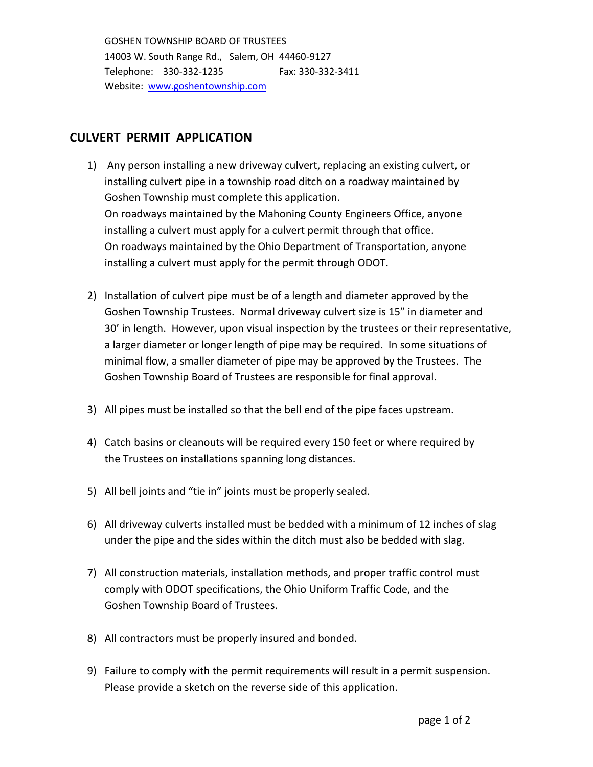GOSHEN TOWNSHIP BOARD OF TRUSTEES 14003 W. South Range Rd., Salem, OH 44460-9127 Telephone: 330-332-1235 Fax: 330-332-3411 Website: [www.goshentownship.com](http://www.goshentownship.com/)

## **CULVERT PERMIT APPLICATION**

- 1) Any person installing a new driveway culvert, replacing an existing culvert, or installing culvert pipe in a township road ditch on a roadway maintained by Goshen Township must complete this application. On roadways maintained by the Mahoning County Engineers Office, anyone installing a culvert must apply for a culvert permit through that office. On roadways maintained by the Ohio Department of Transportation, anyone installing a culvert must apply for the permit through ODOT.
- 2) Installation of culvert pipe must be of a length and diameter approved by the Goshen Township Trustees. Normal driveway culvert size is 15" in diameter and 30' in length. However, upon visual inspection by the trustees or their representative, a larger diameter or longer length of pipe may be required. In some situations of minimal flow, a smaller diameter of pipe may be approved by the Trustees. The Goshen Township Board of Trustees are responsible for final approval.
- 3) All pipes must be installed so that the bell end of the pipe faces upstream.
- 4) Catch basins or cleanouts will be required every 150 feet or where required by the Trustees on installations spanning long distances.
- 5) All bell joints and "tie in" joints must be properly sealed.
- 6) All driveway culverts installed must be bedded with a minimum of 12 inches of slag under the pipe and the sides within the ditch must also be bedded with slag.
- 7) All construction materials, installation methods, and proper traffic control must comply with ODOT specifications, the Ohio Uniform Traffic Code, and the Goshen Township Board of Trustees.
- 8) All contractors must be properly insured and bonded.
- 9) Failure to comply with the permit requirements will result in a permit suspension. Please provide a sketch on the reverse side of this application.